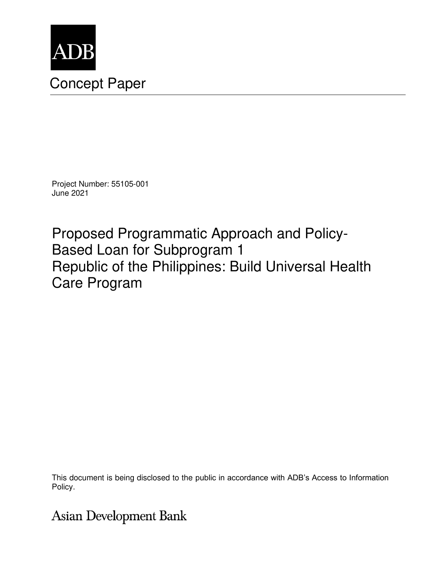

# Concept Paper

Project Number: 55105-001 June 2021

Proposed Programmatic Approach and Policy-Based Loan for Subprogram 1 Republic of the Philippines: Build Universal Health Care Program

This document is being disclosed to the public in accordance with ADB's Access to Information Policy.

## **Asian Development Bank**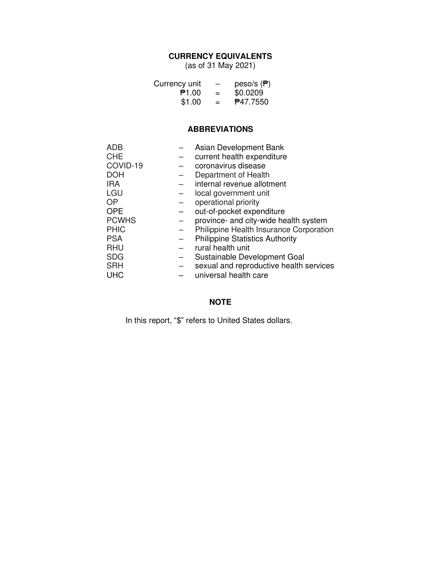#### **CURRENCY EQUIVALENTS**

(as of 31 May 2021)

| Currency unit | —   | peso/s $(\overline{P})$ |
|---------------|-----|-------------------------|
| P1.00         | $=$ | \$0.0209                |
| \$1.00        | $=$ | <b>P47.7550</b>         |

#### **ABBREVIATIONS**

| ADB          | Asian Development Bank                  |
|--------------|-----------------------------------------|
| <b>CHE</b>   | current health expenditure              |
| COVID-19     | coronavirus disease                     |
| <b>DOH</b>   | Department of Health                    |
| <b>IRA</b>   | internal revenue allotment              |
| LGU          | local government unit                   |
| <b>OP</b>    | operational priority                    |
| <b>OPE</b>   | out-of-pocket expenditure               |
| <b>PCWHS</b> | province- and city-wide health system   |
| <b>PHIC</b>  | Philippine Health Insurance Corporation |
| <b>PSA</b>   | <b>Philippine Statistics Authority</b>  |
| <b>RHU</b>   | rural health unit                       |
| <b>SDG</b>   | Sustainable Development Goal            |
| <b>SRH</b>   | sexual and reproductive health services |
| <b>UHC</b>   | universal health care                   |

### **NOTE**

In this report, "\$" refers to United States dollars.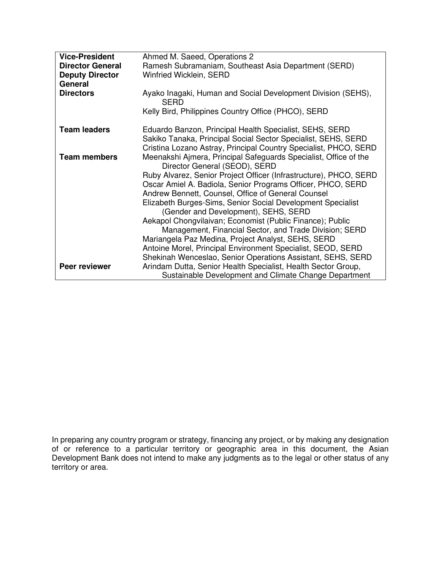| <b>Vice-President</b>   | Ahmed M. Saeed, Operations 2                                                                      |
|-------------------------|---------------------------------------------------------------------------------------------------|
| <b>Director General</b> | Ramesh Subramaniam, Southeast Asia Department (SERD)                                              |
| <b>Deputy Director</b>  | Winfried Wicklein, SERD                                                                           |
| General                 |                                                                                                   |
| <b>Directors</b>        | Ayako Inagaki, Human and Social Development Division (SEHS),<br><b>SERD</b>                       |
|                         | Kelly Bird, Philippines Country Office (PHCO), SERD                                               |
| <b>Team leaders</b>     | Eduardo Banzon, Principal Health Specialist, SEHS, SERD                                           |
|                         | Sakiko Tanaka, Principal Social Sector Specialist, SEHS, SERD                                     |
|                         | Cristina Lozano Astray, Principal Country Specialist, PHCO, SERD                                  |
| <b>Team members</b>     | Meenakshi Ajmera, Principal Safeguards Specialist, Office of the<br>Director General (SEOD), SERD |
|                         | Ruby Alvarez, Senior Project Officer (Infrastructure), PHCO, SERD                                 |
|                         | Oscar Amiel A. Badiola, Senior Programs Officer, PHCO, SERD                                       |
|                         | Andrew Bennett, Counsel, Office of General Counsel                                                |
|                         | Elizabeth Burges-Sims, Senior Social Development Specialist                                       |
|                         | (Gender and Development), SEHS, SERD                                                              |
|                         | Aekapol Chongvilaivan; Economist (Public Finance); Public                                         |
|                         | Management, Financial Sector, and Trade Division; SERD                                            |
|                         | Mariangela Paz Medina, Project Analyst, SEHS, SERD                                                |
|                         | Antoine Morel, Principal Environment Specialist, SEOD, SERD                                       |
|                         | Shekinah Wenceslao, Senior Operations Assistant, SEHS, SERD                                       |
| Peer reviewer           | Arindam Dutta, Senior Health Specialist, Health Sector Group,                                     |
|                         | Sustainable Development and Climate Change Department                                             |

In preparing any country program or strategy, financing any project, or by making any designation of or reference to a particular territory or geographic area in this document, the Asian Development Bank does not intend to make any judgments as to the legal or other status of any territory or area.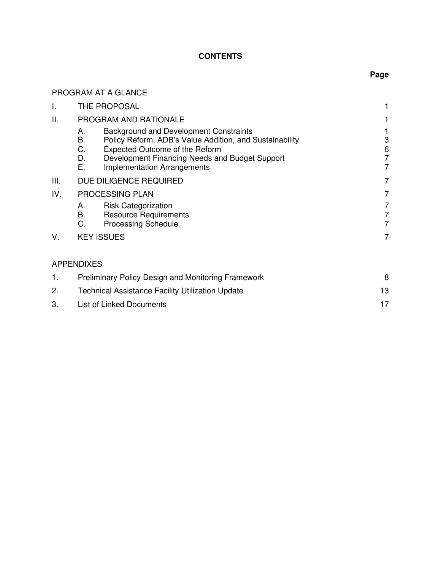#### **CONTENTS**

PROGRAM AT A GLANCE

#### **Page**

| I.   | THE PROPOSAL                                                                                                                                                                                                                                                            |                               |
|------|-------------------------------------------------------------------------------------------------------------------------------------------------------------------------------------------------------------------------------------------------------------------------|-------------------------------|
| Ш.   | PROGRAM AND RATIONALE                                                                                                                                                                                                                                                   |                               |
|      | <b>Background and Development Constraints</b><br>А.<br>В.<br>Policy Reform, ADB's Value Addition, and Sustainability<br>С.<br><b>Expected Outcome of the Reform</b><br>Development Financing Needs and Budget Support<br>D.<br>Е.<br><b>Implementation Arrangements</b> | 3<br>6<br>7<br>$\overline{7}$ |
| III. | DUE DILIGENCE REQUIRED                                                                                                                                                                                                                                                  | 7                             |
| IV.  | <b>PROCESSING PLAN</b>                                                                                                                                                                                                                                                  | 7                             |
|      | <b>Risk Categorization</b><br>А.<br><b>B.</b><br><b>Resource Requirements</b><br>C.<br><b>Processing Schedule</b>                                                                                                                                                       | 7<br>7<br>$\overline{7}$      |
| V.   | <b>KEY ISSUES</b>                                                                                                                                                                                                                                                       | 7                             |
|      | <b>APPENDIXES</b>                                                                                                                                                                                                                                                       |                               |
| 1.   | <b>Preliminary Policy Design and Monitoring Framework</b>                                                                                                                                                                                                               | 8                             |
| 2.   | <b>Technical Assistance Facility Utilization Update</b>                                                                                                                                                                                                                 | 13                            |
| 3.   | List of Linked Documents                                                                                                                                                                                                                                                | 17                            |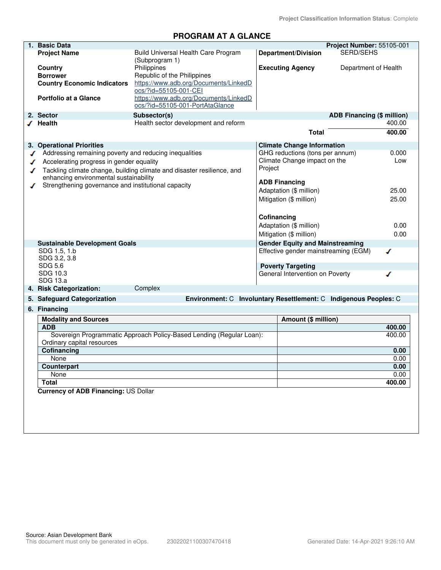#### **PROGRAM AT A GLANCE**

| 1. Basic Data                                          |                                                                          |                         |                                        | Project Number: 55105-001         |        |
|--------------------------------------------------------|--------------------------------------------------------------------------|-------------------------|----------------------------------------|-----------------------------------|--------|
| <b>Project Name</b>                                    | Build Universal Health Care Program<br>(Subprogram 1)                    |                         | <b>Department/Division</b>             | <b>SERD/SEHS</b>                  |        |
| Country                                                | Philippines                                                              |                         | <b>Executing Agency</b>                | Department of Health              |        |
| <b>Borrower</b>                                        | Republic of the Philippines                                              |                         |                                        |                                   |        |
| <b>Country Economic Indicators</b>                     | https://www.adb.org/Documents/LinkedD                                    |                         |                                        |                                   |        |
|                                                        | ocs/?id=55105-001-CEI                                                    |                         |                                        |                                   |        |
| <b>Portfolio at a Glance</b>                           | https://www.adb.org/Documents/LinkedD<br>ocs/?id=55105-001-PortAtaGlance |                         |                                        |                                   |        |
| 2. Sector                                              | Subsector(s)                                                             |                         |                                        | <b>ADB Financing (\$ million)</b> |        |
| √ Health                                               | Health sector development and reform                                     |                         |                                        |                                   | 400.00 |
|                                                        |                                                                          |                         | Total                                  |                                   | 400.00 |
|                                                        |                                                                          |                         |                                        |                                   |        |
| 3. Operational Priorities                              |                                                                          |                         | <b>Climate Change Information</b>      |                                   |        |
| Addressing remaining poverty and reducing inequalities |                                                                          |                         | GHG reductions (tons per annum)        |                                   | 0.000  |
| Accelerating progress in gender equality               |                                                                          |                         | Climate Change impact on the           |                                   | Low    |
|                                                        | Tackling climate change, building climate and disaster resilience, and   | Project                 |                                        |                                   |        |
| enhancing environmental sustainability                 |                                                                          |                         | <b>ADB Financing</b>                   |                                   |        |
| Strengthening governance and institutional capacity    |                                                                          |                         | Adaptation (\$ million)                |                                   | 25.00  |
|                                                        |                                                                          |                         | Mitigation (\$ million)                |                                   | 25.00  |
|                                                        |                                                                          |                         |                                        |                                   |        |
|                                                        |                                                                          | Cofinancing             |                                        |                                   |        |
|                                                        |                                                                          | Adaptation (\$ million) |                                        |                                   | 0.00   |
|                                                        |                                                                          |                         | Mitigation (\$ million)                |                                   | 0.00   |
|                                                        |                                                                          |                         | <b>Gender Equity and Mainstreaming</b> |                                   |        |
| <b>Sustainable Development Goals</b><br>SDG 1.5, 1.b   |                                                                          |                         | Effective gender mainstreaming (EGM)   |                                   | ℐ      |
| SDG 3.2, 3.8                                           |                                                                          |                         |                                        |                                   |        |
| <b>SDG 5.6</b>                                         |                                                                          |                         | <b>Poverty Targeting</b>               |                                   |        |
| SDG 10.3                                               |                                                                          |                         | General Intervention on Poverty        |                                   | ◢      |
| SDG 13.a                                               |                                                                          |                         |                                        |                                   |        |
| 4. Risk Categorization:                                | Complex                                                                  |                         |                                        |                                   |        |
| 5. Safeguard Categorization                            | Environment: C Involuntary Resettlement: C Indigenous Peoples: C         |                         |                                        |                                   |        |
| 6. Financing                                           |                                                                          |                         |                                        |                                   |        |
| <b>Modality and Sources</b>                            |                                                                          |                         | Amount (\$ million)                    |                                   |        |
| <b>ADB</b>                                             |                                                                          |                         |                                        |                                   | 400.00 |
|                                                        | Sovereign Programmatic Approach Policy-Based Lending (Regular Loan):     |                         |                                        |                                   | 400.00 |
| Ordinary capital resources                             |                                                                          |                         |                                        |                                   |        |
| Cofinancing                                            |                                                                          |                         |                                        |                                   | 0.00   |
| None                                                   |                                                                          |                         |                                        |                                   | 0.00   |
| Counterpart                                            |                                                                          |                         |                                        |                                   | 0.00   |
| None                                                   |                                                                          |                         |                                        |                                   | 0.00   |
| <b>Total</b>                                           |                                                                          |                         |                                        |                                   | 400.00 |
| <b>Currency of ADB Financing: US Dollar</b>            |                                                                          |                         |                                        |                                   |        |
|                                                        |                                                                          |                         |                                        |                                   |        |
|                                                        |                                                                          |                         |                                        |                                   |        |
|                                                        |                                                                          |                         |                                        |                                   |        |
|                                                        |                                                                          |                         |                                        |                                   |        |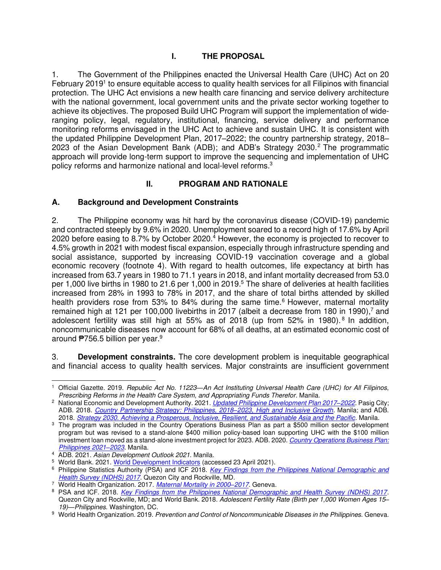#### **I. THE PROPOSAL**

1. The Government of the Philippines enacted the Universal Health Care (UHC) Act on 20 February 2019<sup>1</sup> to ensure equitable access to quality health services for all Filipinos with financial protection. The UHC Act envisions a new health care financing and service delivery architecture with the national government, local government units and the private sector working together to achieve its objectives. The proposed Build UHC Program will support the implementation of wideranging policy, legal, regulatory, institutional, financing, service delivery and performance monitoring reforms envisaged in the UHC Act to achieve and sustain UHC. It is consistent with the updated Philippine Development Plan, 2017–2022; the country partnership strategy, 2018– 2023 of the Asian Development Bank (ADB); and ADB's Strategy 2030.<sup>2</sup> The programmatic approach will provide long-term support to improve the sequencing and implementation of UHC policy reforms and harmonize national and local-level reforms.<sup>3</sup>

#### **II. PROGRAM AND RATIONALE**

#### **A. Background and Development Constraints**

2. The Philippine economy was hit hard by the coronavirus disease (COVID-19) pandemic and contracted steeply by 9.6% in 2020. Unemployment soared to a record high of 17.6% by April 2020 before easing to 8.7% by October 2020.<sup>4</sup> However, the economy is projected to recover to 4.5% growth in 2021 with modest fiscal expansion, especially through infrastructure spending and social assistance, supported by increasing COVID-19 vaccination coverage and a global economic recovery (footnote 4). With regard to health outcomes, life expectancy at birth has increased from 63.7 years in 1980 to 71.1 years in 2018, and infant mortality decreased from 53.0 per 1,000 live births in 1980 to 21.6 per 1,000 in 2019. 5 The share of deliveries at health facilities increased from 28% in 1993 to 78% in 2017, and the share of total births attended by skilled health providers rose from 53% to 84% during the same time.<sup>6</sup> However, maternal mortality remained high at 121 per 100,000 livebirths in 2017 (albeit a decrease from 180 in 1990),<sup>7</sup> and adolescent fertility was still high at 55% as of 2018 (up from 52% in 1980).<sup>8</sup> In addition, noncommunicable diseases now account for 68% of all deaths, at an estimated economic cost of around ₱756.5 billion per year.<sup>9</sup>

3. **Development constraints.** The core development problem is inequitable geographical and financial access to quality health services. Major constraints are insufficient government

<sup>1</sup> Official Gazette. 2019. *Republic Act No. 11223—An Act Instituting Universal Health Care (UHC) for All Filipinos, Prescribing Reforms in the Health Care System, and Appropriating Funds Therefor*. Manila.

<sup>2</sup> National Economic and Development Authority. 2021. *[Updated Philippine Development Plan 2017](https://www.neda.gov.ph/wp-content/uploads/2018/01/Abridged-PDP-2017-2022_Updated-as-of-01052018.pdf)–2022.* Pasig City; ADB. 2018. *[Country Partnership Strategy: Philippines, 2018](https://www.adb.org/sites/default/files/institutional-document/456476/cps-phi-2018-2023.pdf)–2023, High and Inclusive Growth*. Manila; and ADB. 2018. *[Strategy 2030. Achieving a Prosperous, Inclusive, Resilient, and Sustainable Asia and the Pacific](https://www.adb.org/sites/default/files/institutional-document/435391/strategy-2030-main-document.pdf)*. Manila.

<sup>3</sup> The program was included in the Country Operations Business Plan as part a \$500 million sector development program but was revised to a stand-alone \$400 million policy-based loan supporting UHC with the \$100 million investment loan moved as a stand-alone investment project for 2023. ADB. 2020. *[Country Operations Business Plan:](https://www.adb.org/sites/default/files/institutional-document/662936/cobp-phi-2021-2023.pdf)  [Philippines 2021](https://www.adb.org/sites/default/files/institutional-document/662936/cobp-phi-2021-2023.pdf)–2023*. Manila.

<sup>4</sup> ADB. 2021. *Asian Development Outlook 2021*. Manila.

<sup>&</sup>lt;sup>5</sup> World Bank. 2021[. World Development Indicators](http://datatopics.worldbank.org/world-development-indicators/) (accessed 23 April 2021).

<sup>6</sup> Philippine Statistics Authority (PSA) and ICF 2018. *[Key Findings from the Philippines National Demographic and](https://www.dhsprogram.com/pubs/pdf/SR253/SR253.pdf)  [Health Survey \(NDHS\) 2017](https://www.dhsprogram.com/pubs/pdf/SR253/SR253.pdf)*. Quezon City and Rockville, MD.

<sup>7</sup> World Health Organization. 2017. *[Maternal Mortality in 2000](https://www.who.int/gho/maternal_health/countries/phl.pdf)–2017.* Geneva.

<sup>8</sup> PSA and ICF. 2018. *[Key Findings from the Philippines National Demographic and Health Survey \(NDHS\) 2017](https://www.dhsprogram.com/pubs/pdf/SR253/SR253.pdf)*. Quezon City and Rockville, MD; and World Bank. 2018. *Adolescent Fertility Rate (Birth per 1,000 Women Ages 15– 19)—Philippines*. Washington, DC.

<sup>9</sup> World Health Organization. 2019. *Prevention and Control of Noncommunicable Diseases in the Philippines*. Geneva.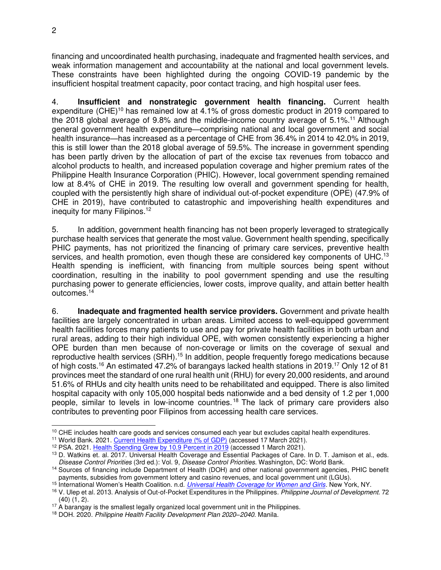financing and uncoordinated health purchasing, inadequate and fragmented health services, and weak information management and accountability at the national and local government levels. These constraints have been highlighted during the ongoing COVID-19 pandemic by the insufficient hospital treatment capacity, poor contact tracing, and high hospital user fees.

4. **Insufficient and nonstrategic government health financing.** Current health expenditure (CHE)<sup>10</sup> has remained low at 4.1% of gross domestic product in 2019 compared to the 2018 global average of 9.8% and the middle-income country average of  $5.1\%$ <sup>11</sup> Although general government health expenditure—comprising national and local government and social health insurance—has increased as a percentage of CHE from 36.4% in 2014 to 42.0% in 2019, this is still lower than the 2018 global average of 59.5%. The increase in government spending has been partly driven by the allocation of part of the excise tax revenues from tobacco and alcohol products to health, and increased population coverage and higher premium rates of the Philippine Health Insurance Corporation (PHIC). However, local government spending remained low at 8.4% of CHE in 2019. The resulting low overall and government spending for health, coupled with the persistently high share of individual out-of-pocket expenditure (OPE) (47.9% of CHE in 2019), have contributed to catastrophic and impoverishing health expenditures and inequity for many Filipinos.<sup>12</sup>

5. In addition, government health financing has not been properly leveraged to strategically purchase health services that generate the most value. Government health spending, specifically PHIC payments, has not prioritized the financing of primary care services, preventive health services, and health promotion, even though these are considered key components of UHC.<sup>13</sup> Health spending is inefficient, with financing from multiple sources being spent without coordination, resulting in the inability to pool government spending and use the resulting purchasing power to generate efficiencies, lower costs, improve quality, and attain better health outcomes.<sup>14</sup>

6. **Inadequate and fragmented health service providers.** Government and private health facilities are largely concentrated in urban areas. Limited access to well-equipped government health facilities forces many patients to use and pay for private health facilities in both urban and rural areas, adding to their high individual OPE, with women consistently experiencing a higher OPE burden than men because of non-coverage or limits on the coverage of sexual and reproductive health services (SRH).<sup>15</sup> In addition, people frequently forego medications because of high costs.<sup>16</sup> An estimated 47.2% of barangays lacked health stations in 2019.<sup>17</sup> Only 12 of 81 provinces meet the standard of one rural health unit (RHU) for every 20,000 residents, and around 51.6% of RHUs and city health units need to be rehabilitated and equipped. There is also limited hospital capacity with only 105,000 hospital beds nationwide and a bed density of 1.2 per 1,000 people, similar to levels in low-income countries. <sup>18</sup> The lack of primary care providers also contributes to preventing poor Filipinos from accessing health care services.

<sup>&</sup>lt;sup>10</sup> CHE includes health care goods and services consumed each year but excludes capital health expenditures.

<sup>&</sup>lt;sup>11</sup> World Bank. 2021[. Current Health Expenditure \(% of GDP\) \(](https://data.worldbank.org/indicator/SH.XPD.CHEX.GD.ZS)accessed 17 March 2021).

<sup>&</sup>lt;sup>12</sup> PSA. 2021. [Health Spending Grew by 10.9 Percent in 2019 \(](https://psa.gov.ph/content/health-spending-grew-109-percent-2019)accessed 1 March 2021).

<sup>&</sup>lt;sup>13</sup> D. Watkins et. al. 2017. Universal Health Coverage and Essential Packages of Care. In D. T. Jamison et al., eds. *Disease Control Priorities* (3rd ed.): Vol. 9, *Disease Control Priorities*. Washington, DC: World Bank.

<sup>14</sup> Sources of financing include Department of Health (DOH) and other national government agencies, PHIC benefit payments, subsidies from government lottery and casino revenues, and local government unit (LGUs).

<sup>15</sup> International Women's Health Coalition. n.d. *[Universal Health Coverage for Women and Girls.](https://iwhc.org/resources/uhc-women-and-girls/)* New York, NY.

<sup>16</sup> V. Ulep et al. 2013. Analysis of Out-of-Pocket Expenditures in the Philippines*. Philippine Journal of Development*. 72 (40) (1, 2).

<sup>&</sup>lt;sup>17</sup> A barangay is the smallest legally organized local government unit in the Philippines.

<sup>18</sup> DOH. 2020. *Philippine Health Facility Development Plan 2020–2040*. Manila.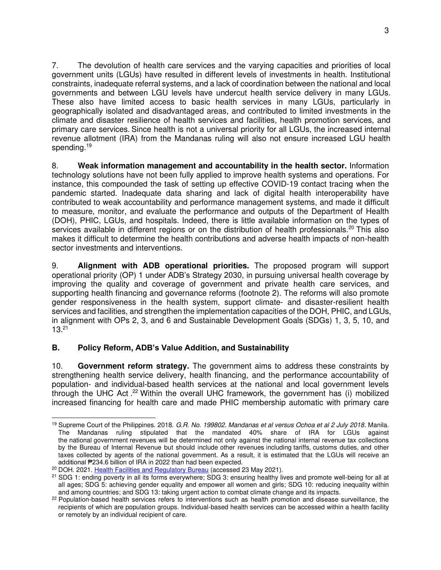7. The devolution of health care services and the varying capacities and priorities of local government units (LGUs) have resulted in different levels of investments in health. Institutional constraints, inadequate referral systems, and a lack of coordination between the national and local governments and between LGU levels have undercut health service delivery in many LGUs. These also have limited access to basic health services in many LGUs, particularly in geographically isolated and disadvantaged areas, and contributed to limited investments in the climate and disaster resilience of health services and facilities, health promotion services, and primary care services. Since health is not a universal priority for all LGUs, the increased internal revenue allotment (IRA) from the Mandanas ruling will also not ensure increased LGU health spending.<sup>19</sup>

8. **Weak information management and accountability in the health sector.** Information technology solutions have not been fully applied to improve health systems and operations. For instance, this compounded the task of setting up effective COVID-19 contact tracing when the pandemic started. Inadequate data sharing and lack of digital health interoperability have contributed to weak accountability and performance management systems, and made it difficult to measure, monitor, and evaluate the performance and outputs of the Department of Health (DOH), PHIC, LGUs, and hospitals. Indeed, there is little available information on the types of services available in different regions or on the distribution of health professionals.<sup>20</sup> This also makes it difficult to determine the health contributions and adverse health impacts of non-health sector investments and interventions.

9. **Alignment with ADB operational priorities.** The proposed program will support operational priority (OP) 1 under ADB's Strategy 2030, in pursuing universal health coverage by improving the quality and coverage of government and private health care services, and supporting health financing and governance reforms (footnote 2). The reforms will also promote gender responsiveness in the health system, support climate- and disaster-resilient health services and facilities, and strengthen the implementation capacities of the DOH, PHIC, and LGUs, in alignment with OPs 2, 3, and 6 and Sustainable Development Goals (SDGs) 1, 3, 5, 10, and 13.<sup>21</sup>

#### **B. Policy Reform, ADB's Value Addition, and Sustainability**

10. **Government reform strategy.** The government aims to address these constraints by strengthening health service delivery, health financing, and the performance accountability of population- and individual-based health services at the national and local government levels through the UHC Act . <sup>22</sup> Within the overall UHC framework, the government has (i) mobilized increased financing for health care and made PHIC membership automatic with primary care

<sup>19</sup> Supreme Court of the Philippines. 2018. *G.R. No. 199802. Mandanas et al versus Ochoa et al 2 July 2018*. Manila. The Mandanas ruling stipulated that the mandated 40% share of IRA for LGUs against the national government revenues will be determined not only against the national internal revenue tax collections by the Bureau of Internal Revenue but should include other revenues including tariffs, customs duties, and other taxes collected by agents of the national government. As a result, it is estimated that the LGUs will receive an additional ₱234.6 billion of IRA in 2022 than had been expected.

<sup>&</sup>lt;sup>20</sup> DOH. 2021. [Health Facilities and Regulatory Bureau](https://www.doh.gov.ph/node/633) (accessed 23 May 2021).

<sup>&</sup>lt;sup>21</sup> SDG 1: ending poverty in all its forms everywhere; SDG 3: ensuring healthy lives and promote well-being for all at all ages; SDG 5: achieving gender equality and empower all women and girls; SDG 10: reducing inequality within and among countries; and SDG 13: taking urgent action to combat climate change and its impacts.

<sup>&</sup>lt;sup>22</sup> Population-based health services refers to interventions such as health promotion and disease surveillance, the recipients of which are population groups. Individual-based health services can be accessed within a health facility or remotely by an individual recipient of care.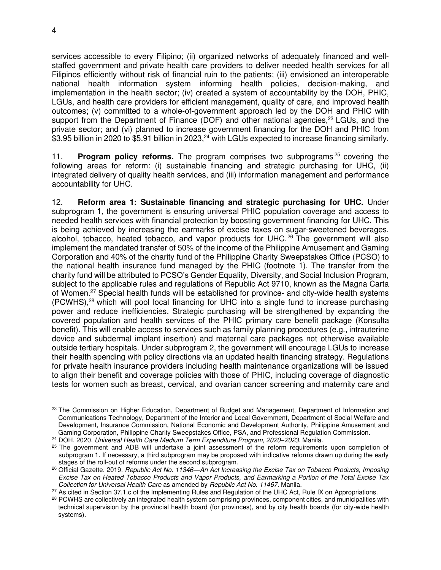services accessible to every Filipino; (ii) organized networks of adequately financed and wellstaffed government and private health care providers to deliver needed health services for all Filipinos efficiently without risk of financial ruin to the patients; (iii) envisioned an interoperable national health information system informing health policies, decision-making, and implementation in the health sector; (iv) created a system of accountability by the DOH, PHIC, LGUs, and health care providers for efficient management, quality of care, and improved health outcomes; (v) committed to a whole-of-government approach led by the DOH and PHIC with support from the Department of Finance (DOF) and other national agencies, $^{23}$  LGUs, and the private sector; and (vi) planned to increase government financing for the DOH and PHIC from \$3.95 billion in 2020 to \$5.91 billion in 2023,<sup>24</sup> with LGUs expected to increase financing similarly.

11. **Program policy reforms.** The program comprises two subprograms <sup>25</sup> covering the following areas for reform: (i) sustainable financing and strategic purchasing for UHC, (ii) integrated delivery of quality health services, and (iii) information management and performance accountability for UHC.

12. **Reform area 1: Sustainable financing and strategic purchasing for UHC.** Under subprogram 1, the government is ensuring universal PHIC population coverage and access to needed health services with financial protection by boosting government financing for UHC. This is being achieved by increasing the earmarks of excise taxes on sugar-sweetened beverages, alcohol, tobacco, heated tobacco, and vapor products for UHC. <sup>26</sup> The government will also implement the mandated transfer of 50% of the income of the Philippine Amusement and Gaming Corporation and 40% of the charity fund of the Philippine Charity Sweepstakes Office (PCSO) to the national health insurance fund managed by the PHIC (footnote 1). The transfer from the charity fund will be attributed to PCSO's Gender Equality, Diversity, and Social Inclusion Program, subject to the applicable rules and regulations of Republic Act 9710, known as the Magna Carta of Women.<sup>27</sup> Special health funds will be established for province- and city-wide health systems (PCWHS),<sup>28</sup> which will pool local financing for UHC into a single fund to increase purchasing power and reduce inefficiencies. Strategic purchasing will be strengthened by expanding the covered population and health services of the PHIC primary care benefit package (Konsulta benefit). This will enable access to services such as family planning procedures (e.g., intrauterine device and subdermal implant insertion) and maternal care packages not otherwise available outside tertiary hospitals. Under subprogram 2, the government will encourage LGUs to increase their health spending with policy directions via an updated health financing strategy. Regulations for private health insurance providers including health maintenance organizations will be issued to align their benefit and coverage policies with those of PHIC, including coverage of diagnostic tests for women such as breast, cervical, and ovarian cancer screening and maternity care and

<sup>&</sup>lt;sup>23</sup> The Commission on Higher Education, Department of Budget and Management, Department of Information and Communications Technology, Department of the Interior and Local Government, Department of Social Welfare and Development, Insurance Commission, National Economic and Development Authority, Philippine Amusement and Gaming Corporation, Philippine Charity Sweepstakes Office, PSA, and Professional Regulation Commission.

<sup>24</sup> DOH. 2020. *Universal Health Care Medium Term Expenditure Program, 2020*–*2023*. Manila.

<sup>&</sup>lt;sup>25</sup> The government and ADB will undertake a joint assessment of the reform requirements upon completion of subprogram 1. If necessary, a third subprogram may be proposed with indicative reforms drawn up during the early stages of the roll-out of reforms under the second subprogram.

<sup>26</sup> Official Gazette. 2019. *Republic Act No. 11346—An Act Increasing the Excise Tax on Tobacco Products, Imposing Excise Tax on Heated Tobacco Products and Vapor Products, and Earmarking a Portion of the Total Excise Tax Collection for Universal Health Care* as amended by *Republic Act No. 11467.* Manila.

<sup>&</sup>lt;sup>27</sup> As cited in Section 37.1.c of the Implementing Rules and Regulation of the UHC Act, Rule IX on Appropriations.

<sup>&</sup>lt;sup>28</sup> PCWHS are collectively an integrated health system comprising provinces, component cities, and municipalities with technical supervision by the provincial health board (for provinces), and by city health boards (for city-wide health systems).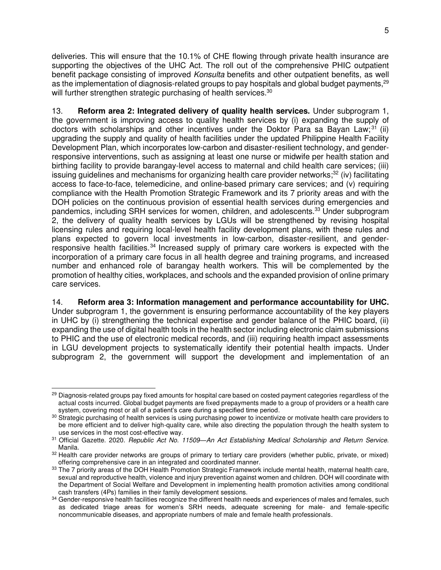deliveries. This will ensure that the 10.1% of CHE flowing through private health insurance are supporting the objectives of the UHC Act. The roll out of the comprehensive PHIC outpatient benefit package consisting of improved *Konsulta* benefits and other outpatient benefits, as well as the implementation of diagnosis-related groups to pay hospitals and global budget payments.<sup>29</sup> will further strengthen strategic purchasing of health services.<sup>30</sup>

13. **Reform area 2: Integrated delivery of quality health services.** Under subprogram 1, the government is improving access to quality health services by (i) expanding the supply of doctors with scholarships and other incentives under the Doktor Para sa Bayan Law;<sup>31</sup> (ii) upgrading the supply and quality of health facilities under the updated Philippine Health Facility Development Plan, which incorporates low-carbon and disaster-resilient technology, and genderresponsive interventions, such as assigning at least one nurse or midwife per health station and birthing facility to provide barangay-level access to maternal and child health care services; (iii) issuing guidelines and mechanisms for organizing health care provider networks; $32$  (iv) facilitating access to face-to-face, telemedicine, and online-based primary care services; and (v) requiring compliance with the Health Promotion Strategic Framework and its 7 priority areas and with the DOH policies on the continuous provision of essential health services during emergencies and pandemics, including SRH services for women, children, and adolescents.<sup>33</sup> Under subprogram 2, the delivery of quality health services by LGUs will be strengthened by revising hospital licensing rules and requiring local-level health facility development plans, with these rules and plans expected to govern local investments in low-carbon, disaster-resilient, and genderresponsive health facilities.<sup>34</sup> Increased supply of primary care workers is expected with the incorporation of a primary care focus in all health degree and training programs, and increased number and enhanced role of barangay health workers. This will be complemented by the promotion of healthy cities, workplaces, and schools and the expanded provision of online primary care services.

#### 14. **Reform area 3: Information management and performance accountability for UHC.**

Under subprogram 1, the government is ensuring performance accountability of the key players in UHC by (i) strengthening the technical expertise and gender balance of the PHIC board, (ii) expanding the use of digital health tools in the health sector including electronic claim submissions to PHIC and the use of electronic medical records, and (iii) requiring health impact assessments in LGU development projects to systematically identify their potential health impacts. Under subprogram 2, the government will support the development and implementation of an

<sup>&</sup>lt;sup>29</sup> Diagnosis-related groups pay fixed amounts for hospital care based on costed payment categories regardless of the actual costs incurred. Global budget payments are fixed prepayments made to a group of providers or a health care system, covering most or all of a patient's care during a specified time period.

<sup>30</sup> Strategic purchasing of health services is using purchasing power to incentivize or motivate health care providers to be more efficient and to deliver high-quality care, while also directing the population through the health system to use services in the most cost-effective way.

<sup>31</sup> Official Gazette. 2020. *Republic Act No. 11509—An Act Establishing Medical Scholarship and Return Service.*  Manila.

<sup>32</sup> Health care provider networks are groups of primary to tertiary care providers (whether public, private, or mixed) offering comprehensive care in an integrated and coordinated manner.

<sup>33</sup> The 7 priority areas of the DOH Health Promotion Strategic Framework include mental health, maternal health care, sexual and reproductive health, violence and injury prevention against women and children. DOH will coordinate with the Department of Social Welfare and Development in implementing health promotion activities among conditional cash transfers (4Ps) families in their family development sessions.

<sup>34</sup> Gender-responsive health facilities recognize the different health needs and experiences of males and females, such as dedicated triage areas for women's SRH needs, adequate screening for male- and female-specific noncommunicable diseases, and appropriate numbers of male and female health professionals.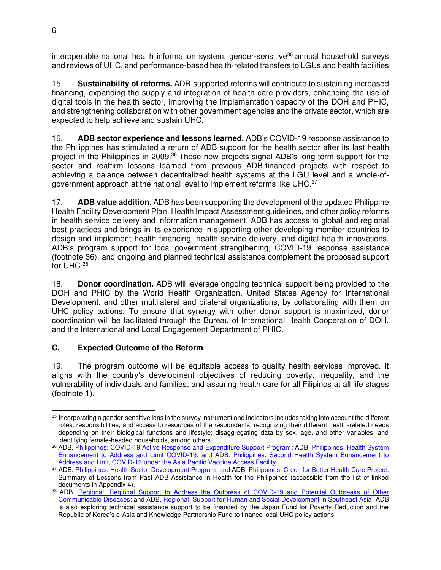interoperable national health information system, gender-sensitive<sup>35</sup> annual household surveys and reviews of UHC, and performance-based health-related transfers to LGUs and health facilities.

15. **Sustainability of reforms.** ADB-supported reforms will contribute to sustaining increased financing, expanding the supply and integration of health care providers, enhancing the use of digital tools in the health sector, improving the implementation capacity of the DOH and PHIC, and strengthening collaboration with other government agencies and the private sector, which are expected to help achieve and sustain UHC.

16. **ADB sector experience and lessons learned.** ADB's COVID-19 response assistance to the Philippines has stimulated a return of ADB support for the health sector after its last health project in the Philippines in 2009.<sup>36</sup> These new projects signal ADB's long-term support for the sector and reaffirm lessons learned from previous ADB-financed projects with respect to achieving a balance between decentralized health systems at the LGU level and a whole-ofgovernment approach at the national level to implement reforms like UHC.<sup>37</sup>

17. **ADB value addition.** ADB has been supporting the development of the updated Philippine Health Facility Development Plan, Health Impact Assessment guidelines, and other policy reforms in health service delivery and information management. ADB has access to global and regional best practices and brings in its experience in supporting other developing member countries to design and implement health financing, health service delivery, and digital health innovations. ADB's program support for local government strengthening, COVID-19 response assistance (footnote 36), and ongoing and planned technical assistance complement the proposed support for UHC. $^{38}$ 

18. **Donor coordination.** ADB will leverage ongoing technical support being provided to the DOH and PHIC by the World Health Organization, United States Agency for International Development, and other multilateral and bilateral organizations, by collaborating with them on UHC policy actions. To ensure that synergy with other donor support is maximized, donor coordination will be facilitated through the Bureau of International Health Cooperation of DOH, and the International and Local Engagement Department of PHIC.

#### **C. Expected Outcome of the Reform**

19. The program outcome will be equitable access to quality health services improved. It aligns with the country's development objectives of reducing poverty, inequality, and the vulnerability of individuals and families; and assuring health care for all Filipinos at all life stages (footnote 1).

<sup>&</sup>lt;sup>35</sup> Incorporating a gender-sensitive lens in the survey instrument and indicators includes taking into account the different roles, responsibilities, and access to resources of the respondents; recognizing their different health-related needs depending on their biological functions and lifestyle; disaggregating data by sex, age, and other variables; and identifying female-headed households, among others.

<sup>36</sup> ADB. Philippines: COVID-19 Active Response and Expenditure Support Program; ADB. Philippines: Health System Enhancement to Address and Limit COVID-19; and ADB. [Philippines: Second Health System Enhancement to](https://www.adb.org/projects/ln1396/main)  [Address and Limit COVID-19 under the Asia Pacific Vaccine Access F](https://www.adb.org/projects/ln1396/main)acility.

<sup>37</sup> ADB[. Philippines: Health Sector Development Program;](https://www.adb.org/projects/33278-013/main#project-overview) and ADB[. Philippines: Credit for Better Health Care Project.](https://www.adb.org/projects/41664-013/main) Summary of Lessons from Past ADB Assistance in Health for the Philippines (accessible from the list of linked documents in Appendix 4).

<sup>38</sup> ADB. Regional: Regional Support to Address the Outbreak of COVID-19 and Potential Outbreaks of Other [Communicable Diseases;](https://www.adb.org/projects/54079-001/main) and ADB. [Regional: Support for Human and Social Development in Southeast Asia.](https://asiandevbank.sharepoint.com/teams/org_sehs/ProjectDocs/PHI%2055105-001%20Build%20Universal%20Health%20Care%20Program%20-%20Subprogram%201/01%20First%20Draft/adb.org/projects/52335-001/main) ADB is also exploring technical assistance support to be financed by the Japan Fund for Poverty Reduction and the Republic of Korea's e-Asia and Knowledge Partnership Fund to finance local UHC policy actions.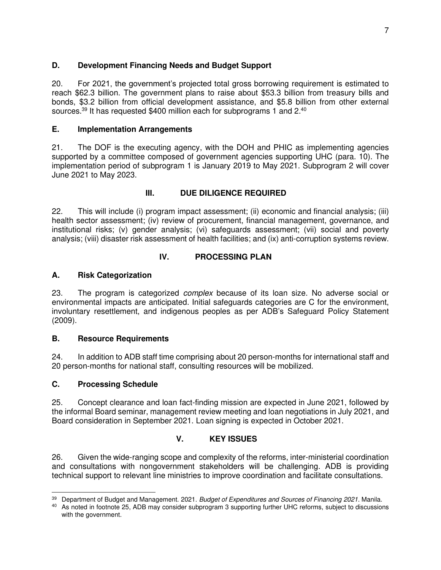#### **D. Development Financing Needs and Budget Support**

20. For 2021, the government's projected total gross borrowing requirement is estimated to reach \$62.3 billion. The government plans to raise about \$53.3 billion from treasury bills and bonds, \$3.2 billion from official development assistance, and \$5.8 billion from other external sources. $^{39}$  It has requested \$400 million each for subprograms 1 and 2. $^{40}$ 

#### **E. Implementation Arrangements**

21. The DOF is the executing agency, with the DOH and PHIC as implementing agencies supported by a committee composed of government agencies supporting UHC (para. 10). The implementation period of subprogram 1 is January 2019 to May 2021. Subprogram 2 will cover June 2021 to May 2023.

#### **III. DUE DILIGENCE REQUIRED**

22. This will include (i) program impact assessment; (ii) economic and financial analysis; (iii) health sector assessment; (iv) review of procurement, financial management, governance, and institutional risks; (v) gender analysis; (vi) safeguards assessment; (vii) social and poverty analysis; (viii) disaster risk assessment of health facilities; and (ix) anti-corruption systems review.

#### **IV. PROCESSING PLAN**

#### **A. Risk Categorization**

23. The program is categorized *complex* because of its loan size. No adverse social or environmental impacts are anticipated. Initial safeguards categories are C for the environment, involuntary resettlement, and indigenous peoples as per ADB's Safeguard Policy Statement (2009).

#### **B. Resource Requirements**

24. In addition to ADB staff time comprising about 20 person-months for international staff and 20 person-months for national staff, consulting resources will be mobilized.

#### **C. Processing Schedule**

25. Concept clearance and loan fact-finding mission are expected in June 2021, followed by the informal Board seminar, management review meeting and loan negotiations in July 2021, and Board consideration in September 2021. Loan signing is expected in October 2021.

#### **V. KEY ISSUES**

26. Given the wide-ranging scope and complexity of the reforms, inter-ministerial coordination and consultations with nongovernment stakeholders will be challenging. ADB is providing technical support to relevant line ministries to improve coordination and facilitate consultations.

<sup>39</sup> Department of Budget and Management. 2021. *Budget of Expenditures and Sources of Financing 2021*. Manila.

<sup>&</sup>lt;sup>40</sup> As noted in footnote 25, ADB may consider subprogram 3 supporting further UHC reforms, subject to discussions with the government.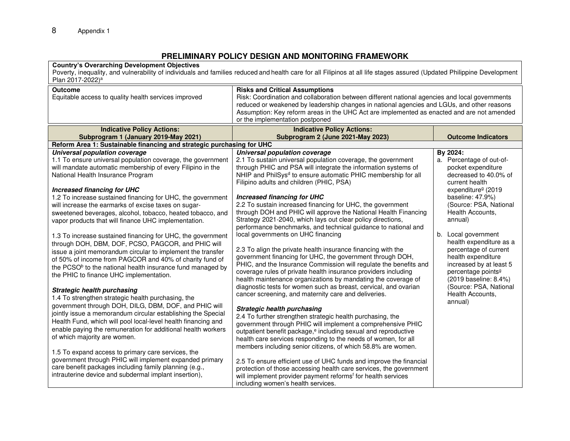#### **PRELIMINARY POLICY DESIGN AND MONITORING FRAMEWORK**

#### **Country's Overarching Development Objectives**

Poverty, inequality, and vulnerability of individuals and families reduced and health care for all Filipinos at all life stages assured (Updated Philippine Development Plan 2017-2022)<sup>a</sup>

| <b>Outcome</b>                                                         | <b>Risks and Critical Assumptions</b>                                                          |                                |  |  |  |  |
|------------------------------------------------------------------------|------------------------------------------------------------------------------------------------|--------------------------------|--|--|--|--|
| Equitable access to quality health services improved                   | Risk: Coordination and collaboration between different national agencies and local governments |                                |  |  |  |  |
|                                                                        | reduced or weakened by leadership changes in national agencies and LGUs, and other reasons     |                                |  |  |  |  |
|                                                                        | Assumption: Key reform areas in the UHC Act are implemented as enacted and are not amended     |                                |  |  |  |  |
|                                                                        | or the implementation postponed                                                                |                                |  |  |  |  |
| <b>Indicative Policy Actions:</b>                                      | <b>Indicative Policy Actions:</b>                                                              |                                |  |  |  |  |
| Subprogram 1 (January 2019-May 2021)                                   | Subprogram 2 (June 2021-May 2023)                                                              | <b>Outcome Indicators</b>      |  |  |  |  |
| Reform Area 1: Sustainable financing and strategic purchasing for UHC  |                                                                                                |                                |  |  |  |  |
| Universal population coverage                                          | Universal population coverage                                                                  | By 2024:                       |  |  |  |  |
| 1.1 To ensure universal population coverage, the government            | 2.1 To sustain universal population coverage, the government                                   | a. Percentage of out-of-       |  |  |  |  |
| will mandate automatic membership of every Filipino in the             | through PHIC and PSA will integrate the information systems of                                 | pocket expenditure             |  |  |  |  |
| National Health Insurance Program                                      | NHIP and PhilSys <sup>d</sup> to ensure automatic PHIC membership for all                      | decreased to 40.0% of          |  |  |  |  |
|                                                                        | Filipino adults and children (PHIC, PSA)                                                       | current health                 |  |  |  |  |
| <b>Increased financing for UHC</b>                                     |                                                                                                | expenditure <sup>g</sup> (2019 |  |  |  |  |
| 1.2 To increase sustained financing for UHC, the government            | <b>Increased financing for UHC</b>                                                             | baseline: 47.9%)               |  |  |  |  |
| will increase the earmarks of excise taxes on sugar-                   | 2.2 To sustain increased financing for UHC, the government                                     | (Source: PSA, National         |  |  |  |  |
| sweetened beverages, alcohol, tobacco, heated tobacco, and             | through DOH and PHIC will approve the National Health Financing                                | Health Accounts,               |  |  |  |  |
| vapor products that will finance UHC implementation.                   | Strategy 2021-2040, which lays out clear policy directions,                                    | annual)                        |  |  |  |  |
|                                                                        | performance benchmarks, and technical guidance to national and                                 |                                |  |  |  |  |
| 1.3 To increase sustained financing for UHC, the government            | local governments on UHC financing                                                             | b. Local government            |  |  |  |  |
| through DOH, DBM, DOF, PCSO, PAGCOR, and PHIC will                     |                                                                                                | health expenditure as a        |  |  |  |  |
| issue a joint memorandum circular to implement the transfer            | 2.3 To align the private health insurance financing with the                                   | percentage of current          |  |  |  |  |
| of 50% of income from PAGCOR and 40% of charity fund of                | government financing for UHC, the government through DOH,                                      | health expenditure             |  |  |  |  |
| the PCSO <sup>b</sup> to the national health insurance fund managed by | PHIC, and the Insurance Commission will regulate the benefits and                              | increased by at least 5        |  |  |  |  |
|                                                                        | coverage rules of private health insurance providers including                                 | percentage points <sup>9</sup> |  |  |  |  |
| the PHIC to finance UHC implementation.                                | health maintenance organizations by mandating the coverage of                                  | (2019 baseline: 8.4%)          |  |  |  |  |
|                                                                        | diagnostic tests for women such as breast, cervical, and ovarian                               | (Source: PSA, National         |  |  |  |  |
| <b>Strategic health purchasing</b>                                     | cancer screening, and maternity care and deliveries.                                           | Health Accounts,               |  |  |  |  |
| 1.4 To strengthen strategic health purchasing, the                     |                                                                                                | annual)                        |  |  |  |  |
| government through DOH, DILG, DBM, DOF, and PHIC will                  | <b>Strategic health purchasing</b>                                                             |                                |  |  |  |  |
| jointly issue a memorandum circular establishing the Special           | 2.4 To further strengthen strategic health purchasing, the                                     |                                |  |  |  |  |
| Health Fund, which will pool local-level health financing and          | government through PHIC will implement a comprehensive PHIC                                    |                                |  |  |  |  |
| enable paying the remuneration for additional health workers           | outpatient benefit package, <sup>e</sup> including sexual and reproductive                     |                                |  |  |  |  |
| of which majority are women.                                           | health care services responding to the needs of women, for all                                 |                                |  |  |  |  |
|                                                                        | members including senior citizens, of which 58.8% are women.                                   |                                |  |  |  |  |
| 1.5 To expand access to primary care services, the                     |                                                                                                |                                |  |  |  |  |
| government through PHIC will implement expanded primary                | 2.5 To ensure efficient use of UHC funds and improve the financial                             |                                |  |  |  |  |
| care benefit packages including family planning (e.g.,                 | protection of those accessing health care services, the government                             |                                |  |  |  |  |
| intrauterine device and subdermal implant insertion),                  | will implement provider payment reforms <sup>f</sup> for health services                       |                                |  |  |  |  |
|                                                                        | including women's health services.                                                             |                                |  |  |  |  |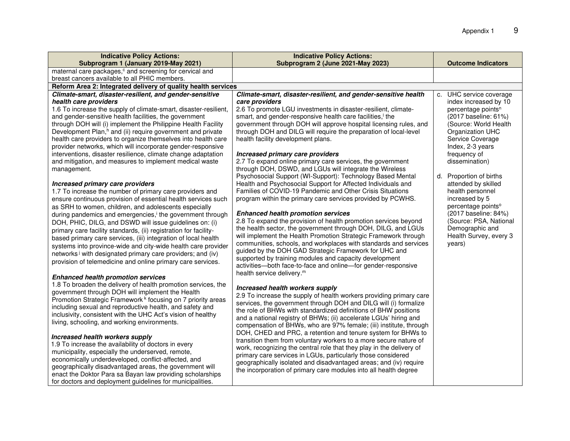| <b>Indicative Policy Actions:</b>                                                                                                       | <b>Indicative Policy Actions:</b>                                                                                                    |                                           |
|-----------------------------------------------------------------------------------------------------------------------------------------|--------------------------------------------------------------------------------------------------------------------------------------|-------------------------------------------|
| Subprogram 1 (January 2019-May 2021)                                                                                                    | Subprogram 2 (June 2021-May 2023)                                                                                                    | <b>Outcome Indicators</b>                 |
| maternal care packages, <sup>c</sup> and screening for cervical and<br>breast cancers available to all PHIC members.                    |                                                                                                                                      |                                           |
| Reform Area 2: Integrated delivery of quality health services                                                                           |                                                                                                                                      |                                           |
| Climate-smart, disaster-resilient, and gender-sensitive                                                                                 | Climate-smart, disaster-resilient, and gender-sensitive health                                                                       | c. UHC service coverage                   |
| health care providers                                                                                                                   | care providers                                                                                                                       | index increased by 10                     |
| 1.6 To increase the supply of climate-smart, disaster-resilient,                                                                        | 2.6 To promote LGU investments in disaster-resilient, climate-                                                                       | percentage points <sup>n</sup>            |
| and gender-sensitive health facilities, the government                                                                                  | smart, and gender-responsive health care facilities, <sup>1</sup> the                                                                | (2017 baseline: 61%)                      |
| through DOH will (i) implement the Philippine Health Facility                                                                           | government through DOH will approve hospital licensing rules, and                                                                    | (Source: World Health                     |
| Development Plan, <sup>h</sup> and (ii) require government and private                                                                  | through DOH and DILG will require the preparation of local-level                                                                     | Organization UHC                          |
| health care providers to organize themselves into health care                                                                           | health facility development plans.                                                                                                   | Service Coverage                          |
| provider networks, which will incorporate gender-responsive                                                                             |                                                                                                                                      | Index, 2-3 years                          |
| interventions, disaster resilience, climate change adaptation<br>and mitigation, and measures to implement medical waste                | Increased primary care providers<br>2.7 To expand online primary care services, the government                                       | frequency of<br>dissemination)            |
| management.                                                                                                                             | through DOH, DSWD, and LGUs will integrate the Wireless                                                                              |                                           |
|                                                                                                                                         | Psychosocial Support (WI-Support): Technology Based Mental                                                                           | d. Proportion of births                   |
| Increased primary care providers                                                                                                        | Health and Psychosocial Support for Affected Individuals and                                                                         | attended by skilled                       |
| 1.7 To increase the number of primary care providers and                                                                                | Families of COVID-19 Pandemic and Other Crisis Situations                                                                            | health personnel                          |
| ensure continuous provision of essential health services such                                                                           | program within the primary care services provided by PCWHS.                                                                          | increased by 5                            |
| as SRH to women, children, and adolescents especially                                                                                   |                                                                                                                                      | percentage points <sup>o</sup>            |
| during pandemics and emergencies, <sup>i</sup> the government through                                                                   | <b>Enhanced health promotion services</b>                                                                                            | (2017 baseline: 84%)                      |
| DOH, PHIC, DILG, and DSWD will issue guidelines on: (i)                                                                                 | 2.8 To expand the provision of health promotion services beyond<br>the health sector, the government through DOH, DILG, and LGUs     | (Source: PSA, National<br>Demographic and |
| primary care facility standards, (ii) registration for facility-                                                                        | will implement the Health Promotion Strategic Framework through                                                                      | Health Survey, every 3                    |
| based primary care services, (iii) integration of local health                                                                          | communities, schools, and workplaces with standards and services                                                                     | years)                                    |
| systems into province-wide and city-wide health care provider<br>networks <sup>j</sup> with designated primary care providers; and (iv) | guided by the DOH GAD Strategic Framework for UHC and                                                                                |                                           |
| provision of telemedicine and online primary care services.                                                                             | supported by training modules and capacity development                                                                               |                                           |
|                                                                                                                                         | activities-both face-to-face and online-for gender-responsive                                                                        |                                           |
| <b>Enhanced health promotion services</b>                                                                                               | health service delivery. <sup>m</sup>                                                                                                |                                           |
| 1.8 To broaden the delivery of health promotion services, the                                                                           | Increased health workers supply                                                                                                      |                                           |
| government through DOH will implement the Health                                                                                        | 2.9 To increase the supply of health workers providing primary care                                                                  |                                           |
| Promotion Strategic Framework <sup>k</sup> focusing on 7 priority areas                                                                 | services, the government through DOH and DILG will (i) formalize                                                                     |                                           |
| including sexual and reproductive health, and safety and                                                                                | the role of BHWs with standardized definitions of BHW positions                                                                      |                                           |
| inclusivity, consistent with the UHC Act's vision of healthy                                                                            | and a national registry of BHWs; (ii) accelerate LGUs' hiring and                                                                    |                                           |
| living, schooling, and working environments.                                                                                            | compensation of BHWs, who are 97% female; (iii) institute, through                                                                   |                                           |
| Increased health workers supply                                                                                                         | DOH, CHED and PRC, a retention and tenure system for BHWs to                                                                         |                                           |
| 1.9 To increase the availability of doctors in every                                                                                    | transition them from voluntary workers to a more secure nature of                                                                    |                                           |
| municipality, especially the underserved, remote,                                                                                       | work, recognizing the central role that they play in the delivery of<br>primary care services in LGUs, particularly those considered |                                           |
| economically underdeveloped, conflict-affected, and                                                                                     | geographically isolated and disadvantaged areas; and (iv) require                                                                    |                                           |
| geographically disadvantaged areas, the government will                                                                                 | the incorporation of primary care modules into all health degree                                                                     |                                           |
| enact the Doktor Para sa Bayan law providing scholarships                                                                               |                                                                                                                                      |                                           |
| for doctors and deployment guidelines for municipalities.                                                                               |                                                                                                                                      |                                           |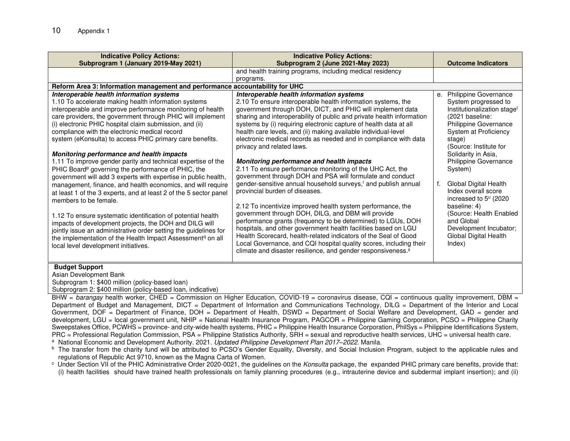| <b>Indicative Policy Actions:</b>                                            | <b>Indicative Policy Actions:</b>                                                                                                 |                                         |
|------------------------------------------------------------------------------|-----------------------------------------------------------------------------------------------------------------------------------|-----------------------------------------|
| Subprogram 1 (January 2019-May 2021)                                         | Subprogram 2 (June 2021-May 2023)                                                                                                 | <b>Outcome Indicators</b>               |
|                                                                              | and health training programs, including medical residency                                                                         |                                         |
|                                                                              | programs.                                                                                                                         |                                         |
| Reform Area 3: Information management and performance accountability for UHC |                                                                                                                                   |                                         |
| Interoperable health information systems                                     | Interoperable health information systems                                                                                          | e. Philippine Governance                |
| 1.10 To accelerate making health information systems                         | 2.10 To ensure interoperable health information systems, the                                                                      | System progressed to                    |
| interoperable and improve performance monitoring of health                   | government through DOH, DICT, and PHIC will implement data                                                                        | Institutionalization stage <sup>t</sup> |
| care providers, the government through PHIC will implement                   | sharing and interoperability of public and private health information                                                             | (2021 baseline:                         |
| (i) electronic PHIC hospital claim submission, and (ii)                      | systems by (i) requiring electronic capture of health data at all                                                                 | Philippine Governance                   |
| compliance with the electronic medical record                                | health care levels, and (ii) making available individual-level                                                                    | System at Proficiency                   |
| system (eKonsulta) to access PHIC primary care benefits.                     | electronic medical records as needed and in compliance with data                                                                  | stage)                                  |
|                                                                              | privacy and related laws.                                                                                                         | (Source: Institute for                  |
| Monitoring performance and health impacts                                    |                                                                                                                                   | Solidarity in Asia,                     |
| 1.11 To improve gender parity and technical expertise of the                 | Monitoring performance and health impacts                                                                                         | Philippine Governance                   |
| PHIC Board <sup>p</sup> governing the performance of PHIC, the               | 2.11 To ensure performance monitoring of the UHC Act, the                                                                         | System)                                 |
| government will add 3 experts with expertise in public health,               | government through DOH and PSA will formulate and conduct                                                                         |                                         |
| management, finance, and health economics, and will require                  | gender-sensitive annual household surveys, <sup>r</sup> and publish annual                                                        | Global Digital Health<br>f.             |
| at least 1 of the 3 experts, and at least 2 of the 5 sector panel            | provincial burden of diseases.                                                                                                    | Index overall score                     |
| members to be female.                                                        |                                                                                                                                   | increased to 5 <sup>u</sup> (2020       |
|                                                                              | 2.12 To incentivize improved health system performance, the                                                                       | baseline: 4)                            |
| 1.12 To ensure systematic identification of potential health                 | government through DOH, DILG, and DBM will provide                                                                                | (Source: Health Enabled<br>and Global   |
| impacts of development projects, the DOH and DILG will                       | performance grants (frequency to be determined) to LGUs, DOH                                                                      |                                         |
| jointly issue an administrative order setting the guidelines for             | hospitals, and other government health facilities based on LGU<br>Health Scorecard, health-related indicators of the Seal of Good | Development Incubator;                  |
| the implementation of the Health Impact Assessment <sup>q</sup> on all       | Local Governance, and CQI hospital quality scores, including their                                                                | Global Digital Health<br>Index)         |
| local level development initiatives.                                         | climate and disaster resilience, and gender responsiveness. <sup>s</sup>                                                          |                                         |
|                                                                              |                                                                                                                                   |                                         |
|                                                                              |                                                                                                                                   |                                         |
| <b>Budget Support</b>                                                        |                                                                                                                                   |                                         |
| Asian Development Bank                                                       |                                                                                                                                   |                                         |

Subprogram 1: \$400 million (policy-based loan) Subprogram 2: \$400 million (policy-based loan, indicative)

BHW = *barangay* health worker, CHED = Commission on Higher Education, COVID-19 = coronavirus disease, CQI = continuous quality improvement, DBM = Department of Budget and Management, DICT = Department of Information and Communications Technology, DILG = Department of the Interior and Local Government, DOF = Department of Finance, DOH = Department of Health, DSWD = Department of Social Welfare and Development, GAD = gender and development, LGU = local government unit, NHIP = National Health Insurance Program, PAGCOR = Philippine Gaming Corporation, PCSO = Philippine Charity Sweepstakes Office, PCWHS = province- and city-wide health systems, PHIC = Philippine Health Insurance Corporation, PhilSys = Philippine Identifications System, PRC = Professional Regulation Commission, PSA = Philippine Statistics Authority, SRH = sexual and reproductive health services, UHC = universal health care.

a National Economic and Development Authority. 2021. *Updated Philippine Development Plan 2017–2022*. Manila.

<sup>c</sup> Under Section VII of the PHIC Administrative Order 2020-0021, the guidelines on the Konsulta package, the expanded PHIC primary care benefits, provide that: (i) health facilities should have trained health professionals on family planning procedures (e.g., intrauterine device and subdermal implant insertion); and (ii)

<sup>&</sup>lt;sup>b</sup> The transfer from the charity fund will be attributed to PCSO's Gender Equality, Diversity, and Social Inclusion Program, subject to the applicable rules and regulations of Republic Act 9710, known as the Magna Carta of Women.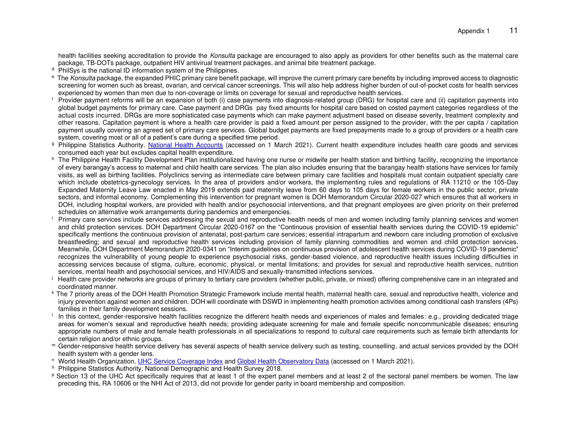health facilities seeking accreditation to provide the *Konsulta* package are encouraged to also apply as providers for other benefits such as the maternal care package, TB-DOTs package, outpatient HIV antivirual treatment packages, and animal bite treatment package.

- <sup>d</sup> PhilSys is the national ID information system of the Philippines.
- <sup>e</sup> The *Konsulta* package, the expanded PHIC primary care benefit package, will improve the current primary care benefits by including improved access to diagnostic screening for women such as breast, ovarian, and cervical cancer screenings. This will also help address higher burden of out-of-pocket costs for health services experienced by women than men due to non-coverage or limits on coverage for sexual and reproductive health services.
- f Provider payment reforms will be an expansion of both (i) case payments into diagnosis-related group (DRG) for hospital care and (ii) capitation payments into global budget payments for primary care. Case payment and DRGs pay fixed amounts for hospital care based on costed payment categories regardless of the actual costs incurred. DRGs are more sophisticated case payments which can make payment adjustment based on disease severity, treatment complexity and other reasons. Capitation payment is where a health care provider is paid a fixed amount per person assigned to the provider, with the per capita / capitation payment usually covering an agreed set of primary care services. Global budget payments are fixed prepayments made to a group of providers or a health care system, covering most or all of a patient's care during a specified time period.
- <sup>g</sup> Philippine Statistics Authority. [National Health Accounts](https://psa.gov.ph/psa-press-release-tags/philippine-national-health-accounts) (accessed on 1 March 2021). Current health expenditure includes health care goods and services consumed each year but excludes capital health expenditure.
- h The Philippine Health Facility Development Plan institutionalized having one nurse or midwife per health station and birthing facility, recognizing the importance of every barangay's access to maternal and child health care services. The plan also includes ensuring that the barangay health stations have services for family visits, as well as birthing facilities. Polyclinics serving as intermediate care between primary care facilities and hospitals must contain outpatient specialty care which include obstetrics-gynecology services. In the area of providers and/or workers, the implementing rules and regulations of RA 11210 or the 105-Day Expanded Maternity Leave Law enacted in May 2019 extends paid maternity leave from 60 days to 105 days for female workers in the public sector, private sectors, and informal economy. Complementing this intervention for pregnant women is DOH Memorandum Circular 2020-027 which ensures that all workers in DOH, including hospital workers, are provided with health and/or psychosocial interventions, and that pregnant employees are given priority on their preferred schedules on alternative work arrangements during pandemics and emergencies.
- i Primary care services include services addressing the sexual and reproductive health needs of men and women including family planning services and women and child protection services. DOH Department Circular 2020-0167 on the "Continuous provision of essential health services during the COVID-19 epidemic" specifically mentions the continuous provision of antenatal, post-partum care services; essential intrapartum and newborn care including promotion of exclusive breastfeeding; and sexual and reproductive health services including provision of family planning commodities and women and child protection services. Meanwhile, DOH Department Memorandum 2020-0341 on "Interim guidelines on continuous provision of adolescent health services during COVID-19 pandemic" recognizes the vulnerability of young people to experience psychosocial risks, gender-based violence, and reproductive health issues including difficulties in accessing services because of stigma, culture, economic, physical, or mental limitations; and provides for sexual and reproductive health services, nutrition services, mental health and psychosocial services, and HIV/AIDS and sexually-transmitted infections services.
- j Health care provider networks are groups of primary to tertiary care providers (whether public, private, or mixed) offering comprehensive care in an integrated and coordinated manner.
- <sup>k</sup> The 7 priority areas of the DOH Health Promotion Strategic Framework include mental health, maternal health care, sexual and reproductive health, violence and injury prevention against women and children. DOH will coordinate with DSWD in implementing health promotion activities among conditional cash transfers (4Ps) families in their family development sessions.
- In this context, gender-responsive health facilities recognize the different health needs and experiences of males and females: e.g., providing dedicated triage areas for women's sexual and reproductive health needs; providing adequate screening for male and female specific noncommunicable diseases; ensuring appropriate numbers of male and female health professionals in all specializations to respond to cultural care requirements such as female birth attendants for certain religion and/or ethnic groups.
- <sup>m</sup> Gender-responsive health service delivery has several aspects of health service delivery such as testing, counselling, and actual services provided by the DOH health system with a gender lens.
- <sup>n</sup> World Health Organization[. UHC Service Coverage Index](https://www.who.int/data/gho/indicator-metadata-registry/imr-details/4834) an[d Global Health Observatory Data](https://apps.who.int/gho/data/node.imr.UHC_INDEX_REPORTED?lang=en) (accessed on 1 March 2021).
- <sup>o</sup> Philippine Statistics Authority, National Demographic and Health Survey 2018.
- P Section 13 of the UHC Act specifically requires that at least 1 of the expert panel members and at least 2 of the sectoral panel members be women. The law preceding this, RA 10606 or the NHI Act of 2013, did not provide for gender parity in board membership and composition.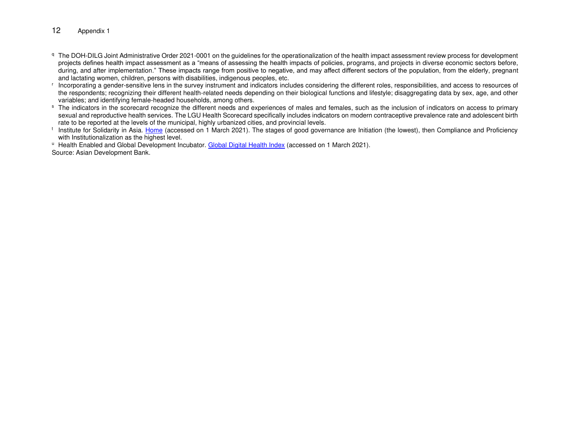#### 12 Appendix 1

- q The DOH-DILG Joint Administrative Order 2021-0001 on the guidelines for the operationalization of the health impact assessment review process for development projects defines health impact assessment as a "means of assessing the health impacts of policies, programs, and projects in diverse economic sectors before, during, and after implementation." These impacts range from positive to negative, and may affect different sectors of the population, from the elderly, pregnant and lactating women, children, persons with disabilities, indigenous peoples, etc.
- r Incorporating a gender-sensitive lens in the survey instrument and indicators includes considering the different roles, responsibilities, and access to resources of the respondents; recognizing their different health-related needs depending on their biological functions and lifestyle; disaggregating data by sex, age, and other variables; and identifying female-headed households, among others.
- <sup>s</sup> The indicators in the scorecard recognize the different needs and experiences of males and females, such as the inclusion of indicators on access to primary sexual and reproductive health services. The LGU Health Scorecard specifically includes indicators on modern contraceptive prevalence rate and adolescent birth rate to be reported at the levels of the municipal, highly urbanized cities, and provincial levels.
- <sup>t</sup> Institute for Solidarity in Asia. [Home](http://isacenter.org/) (accessed on 1 March 2021). The stages of good governance are Initiation (the lowest), then Compliance and Proficiency with Institutionalization as the highest level.
- U Health Enabled and Global Development Incubator. [Global Digital Health Index](https://www.digitalhealthindex.org/) (accessed on 1 March 2021).

Source: Asian Development Bank.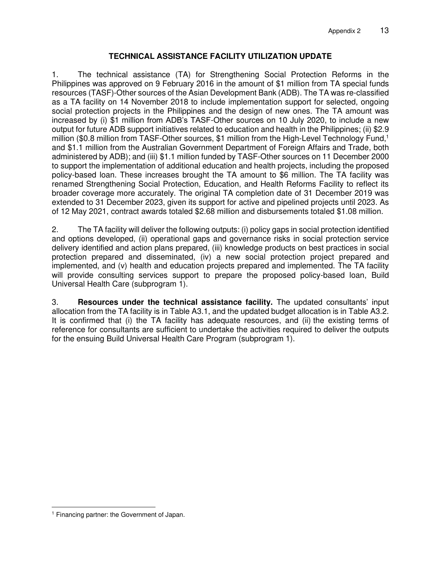#### **TECHNICAL ASSISTANCE FACILITY UTILIZATION UPDATE**

1. The technical assistance (TA) for Strengthening Social Protection Reforms in the Philippines was approved on 9 February 2016 in the amount of \$1 million from TA special funds resources (TASF)-Other sources of the Asian Development Bank (ADB). The TA was re-classified as a TA facility on 14 November 2018 to include implementation support for selected, ongoing social protection projects in the Philippines and the design of new ones. The TA amount was increased by (i) \$1 million from ADB's TASF-Other sources on 10 July 2020, to include a new output for future ADB support initiatives related to education and health in the Philippines; (ii) \$2.9 million (\$0.8 million from TASF-Other sources, \$1 million from the High-Level Technology Fund,<sup>1</sup> and \$1.1 million from the Australian Government Department of Foreign Affairs and Trade, both administered by ADB); and (iii) \$1.1 million funded by TASF-Other sources on 11 December 2000 to support the implementation of additional education and health projects, including the proposed policy-based loan. These increases brought the TA amount to \$6 million. The TA facility was renamed Strengthening Social Protection, Education, and Health Reforms Facility to reflect its broader coverage more accurately. The original TA completion date of 31 December 2019 was extended to 31 December 2023, given its support for active and pipelined projects until 2023. As of 12 May 2021, contract awards totaled \$2.68 million and disbursements totaled \$1.08 million.

2. The TA facility will deliver the following outputs: (i) policy gaps in social protection identified and options developed, (ii) operational gaps and governance risks in social protection service delivery identified and action plans prepared, (iii) knowledge products on best practices in social protection prepared and disseminated, (iv) a new social protection project prepared and implemented, and (v) health and education projects prepared and implemented. The TA facility will provide consulting services support to prepare the proposed policy-based loan, Build Universal Health Care (subprogram 1).

3. **Resources under the technical assistance facility.** The updated consultants' input allocation from the TA facility is in Table A3.1, and the updated budget allocation is in Table A3.2. It is confirmed that (i) the TA facility has adequate resources, and (ii) the existing terms of reference for consultants are sufficient to undertake the activities required to deliver the outputs for the ensuing Build Universal Health Care Program (subprogram 1).

<sup>1</sup> Financing partner: the Government of Japan.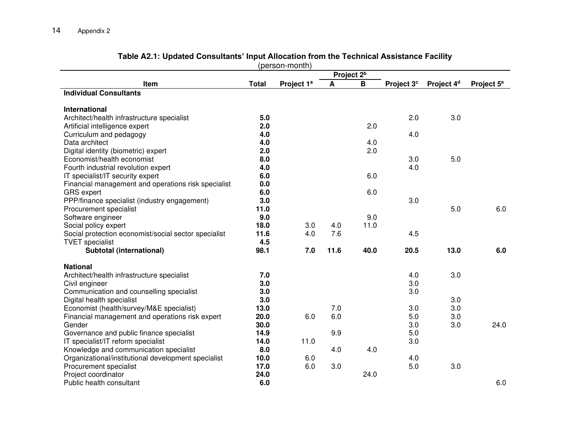|                                                      |                        | (person-month)         |      |      |                        |                        |                        |
|------------------------------------------------------|------------------------|------------------------|------|------|------------------------|------------------------|------------------------|
|                                                      | Project 2 <sup>b</sup> |                        |      |      |                        |                        |                        |
| Item                                                 | <b>Total</b>           | Project 1 <sup>a</sup> | A    | B    | Project 3 <sup>c</sup> | Project 4 <sup>d</sup> | Project 5 <sup>e</sup> |
| <b>Individual Consultants</b>                        |                        |                        |      |      |                        |                        |                        |
|                                                      |                        |                        |      |      |                        |                        |                        |
| <b>International</b>                                 |                        |                        |      |      |                        |                        |                        |
| Architect/health infrastructure specialist           | 5.0                    |                        |      |      | 2.0                    | 3.0                    |                        |
| Artificial intelligence expert                       | 2.0                    |                        |      | 2.0  |                        |                        |                        |
| Curriculum and pedagogy                              | 4.0                    |                        |      |      | 4.0                    |                        |                        |
| Data architect                                       | 4.0                    |                        |      | 4.0  |                        |                        |                        |
| Digital identity (biometric) expert                  | 2.0                    |                        |      | 2.0  |                        |                        |                        |
| Economist/health economist                           | 8.0                    |                        |      |      | 3.0                    | 5.0                    |                        |
| Fourth industrial revolution expert                  | 4.0                    |                        |      |      | 4.0                    |                        |                        |
| IT specialist/IT security expert                     | 6.0                    |                        |      | 6.0  |                        |                        |                        |
| Financial management and operations risk specialist  | 0.0                    |                        |      |      |                        |                        |                        |
| <b>GRS</b> expert                                    | 6.0                    |                        |      | 6.0  |                        |                        |                        |
| PPP/finance specialist (industry engagement)         | 3.0                    |                        |      |      | 3.0                    |                        |                        |
| Procurement specialist                               | 11.0                   |                        |      |      |                        | 5.0                    | 6.0                    |
| Software engineer                                    | 9.0                    |                        |      | 9.0  |                        |                        |                        |
| Social policy expert                                 | 18.0                   | 3.0                    | 4.0  | 11.0 |                        |                        |                        |
| Social protection economist/social sector specialist | 11.6                   | 4.0                    | 7.6  |      | 4.5                    |                        |                        |
| <b>TVET</b> specialist                               | 4.5                    |                        |      |      |                        |                        |                        |
| Subtotal (international)                             | 98.1                   | 7.0                    | 11.6 | 40.0 | 20.5                   | 13.0                   | 6.0                    |
| <b>National</b>                                      |                        |                        |      |      |                        |                        |                        |
| Architect/health infrastructure specialist           | 7.0                    |                        |      |      | 4.0                    | 3.0                    |                        |
| Civil engineer                                       | 3.0                    |                        |      |      | 3.0                    |                        |                        |
| Communication and counselling specialist             | 3.0                    |                        |      |      | 3.0                    |                        |                        |
| Digital health specialist                            | 3.0                    |                        |      |      |                        | 3.0                    |                        |
| Economist (health/survey/M&E specialist)             | 13.0                   |                        | 7.0  |      | 3.0                    | 3.0                    |                        |
| Financial management and operations risk expert      | 20.0                   | 6.0                    | 6.0  |      | 5.0                    | 3.0                    |                        |
| Gender                                               | 30.0                   |                        |      |      | 3.0                    | 3.0                    | 24.0                   |
| Governance and public finance specialist             | 14.9                   |                        | 9.9  |      | 5.0                    |                        |                        |
| IT specialist/IT reform specialist                   | 14.0                   | 11.0                   |      |      | 3.0                    |                        |                        |
| Knowledge and communication specialist               | 8.0                    |                        | 4.0  | 4.0  |                        |                        |                        |
| Organizational/institutional development specialist  | 10.0                   | 6.0                    |      |      | 4.0                    |                        |                        |
| Procurement specialist                               | 17.0                   | 6.0                    | 3.0  |      | 5.0                    | 3.0                    |                        |
| Project coordinator                                  | 24.0                   |                        |      | 24.0 |                        |                        |                        |
| Public health consultant                             | 6.0                    |                        |      |      |                        |                        | 6.0                    |
|                                                      |                        |                        |      |      |                        |                        |                        |

### **Table A2.1: Updated Consultants' Input Allocation from the Technical Assistance Facility**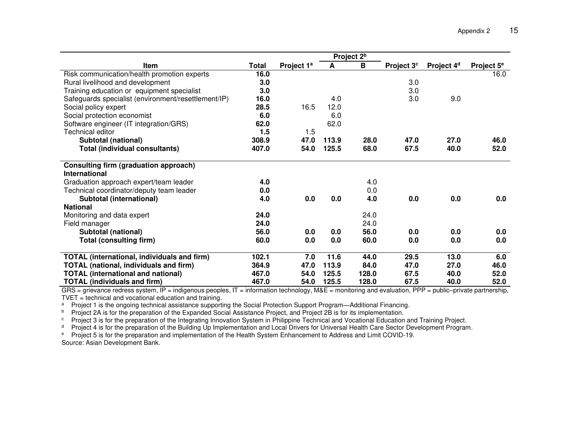|                                                     | Project 2 <sup>b</sup> |                        |       |       |                        |                        |                        |
|-----------------------------------------------------|------------------------|------------------------|-------|-------|------------------------|------------------------|------------------------|
| Item                                                | Total                  | Project 1 <sup>a</sup> | A     | B     | Project 3 <sup>c</sup> | Project 4 <sup>d</sup> | Project 5 <sup>e</sup> |
| Risk communication/health promotion experts         | 16.0                   |                        |       |       |                        |                        | 16.0                   |
| Rural livelihood and development                    | 3.0                    |                        |       |       | 3.0                    |                        |                        |
| Training education or equipment specialist          | 3.0                    |                        |       |       | 3.0                    |                        |                        |
| Safeguards specialist (environment/resettlement/IP) | 16.0                   |                        | 4.0   |       | 3.0                    | 9.0                    |                        |
| Social policy expert                                | 28.5                   | 16.5                   | 12.0  |       |                        |                        |                        |
| Social protection economist                         | 6.0                    |                        | 6.0   |       |                        |                        |                        |
| Software engineer (IT integration/GRS)              | 62.0                   |                        | 62.0  |       |                        |                        |                        |
| <b>Technical editor</b>                             | 1.5                    | 1.5                    |       |       |                        |                        |                        |
| <b>Subtotal (national)</b>                          | 308.9                  | 47.0                   | 113.9 | 28.0  | 47.0                   | 27.0                   | 46.0                   |
| <b>Total (individual consultants)</b>               | 407.0                  | 54.0                   | 125.5 | 68.0  | 67.5                   | 40.0                   | 52.0                   |
| Consulting firm (graduation approach)               |                        |                        |       |       |                        |                        |                        |
| <b>International</b>                                |                        |                        |       |       |                        |                        |                        |
| Graduation approach expert/team leader              | 4.0                    |                        |       | 4.0   |                        |                        |                        |
| Technical coordinator/deputy team leader            | 0.0                    |                        |       | 0.0   |                        |                        |                        |
| Subtotal (international)                            | 4.0                    | 0.0                    | 0.0   | 4.0   | 0.0                    | 0.0                    | 0.0                    |
| <b>National</b>                                     |                        |                        |       |       |                        |                        |                        |
| Monitoring and data expert                          | 24.0                   |                        |       | 24.0  |                        |                        |                        |
| Field manager                                       | 24.0                   |                        |       | 24.0  |                        |                        |                        |
| <b>Subtotal (national)</b>                          | 56.0                   | 0.0                    | 0.0   | 56.0  | 0.0                    | 0.0                    | 0.0                    |
| <b>Total (consulting firm)</b>                      | 60.0                   | 0.0                    | 0.0   | 60.0  | 0.0                    | 0.0                    | 0.0                    |
| <b>TOTAL</b> (international, individuals and firm)  | 102.1                  | 7.0                    | 11.6  | 44.0  | 29.5                   | 13.0                   | 6.0                    |
| <b>TOTAL (national, individuals and firm)</b>       | 364.9                  | 47.0                   | 113.9 | 84.0  | 47.0                   | 27.0                   | 46.0                   |
| <b>TOTAL (international and national)</b>           | 467.0                  | 54.0                   | 125.5 | 128.0 | 67.5                   | 40.0                   | 52.0                   |
| <b>TOTAL (individuals and firm)</b>                 | 467.0                  | 54.0                   | 125.5 | 128.0 | 67.5                   | 40.0                   | 52.0                   |

GRS = grievance redress system, IP = indigenous peoples, IT = information technology, M&E = monitoring and evaluation, PPP = public-private partnership, TVET = technical and vocational education and training.

<sup>a</sup> Project 1 is the ongoing technical assistance supporting the Social Protection Support Program—Additional Financing.

<sup>b</sup> Project 2A is for the preparation of the Expanded Social Assistance Project, and Project 2B is for its implementation.

<sup>c</sup> Project 3 is for the preparation of the Integrating Innovation System in Philippine Technical and Vocational Education and Training Project.

<sup>d</sup> Project 4 is for the preparation of the Building Up Implementation and Local Drivers for Universal Health Care Sector Development Program.

e Project 5 is for the preparation and implementation of the Health System Enhancement to Address and Limit COVID-19.

Source: Asian Development Bank.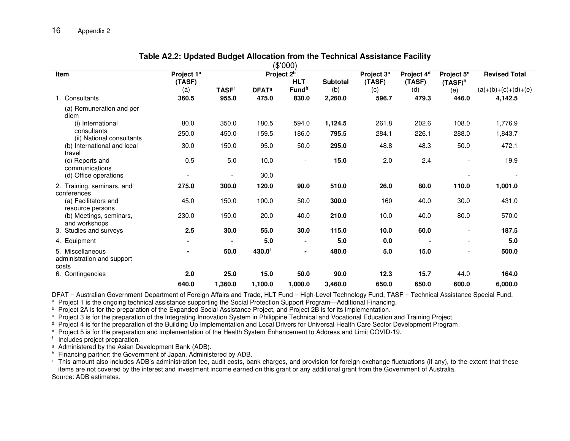|                                                         |                          | (\$'000)     |                          |                        |                 |                        |                        |                          |                       |  |
|---------------------------------------------------------|--------------------------|--------------|--------------------------|------------------------|-----------------|------------------------|------------------------|--------------------------|-----------------------|--|
| <b>Item</b>                                             | Project 1 <sup>a</sup>   |              |                          | Project 2 <sup>b</sup> |                 | Project 3 <sup>c</sup> | Project 4 <sup>d</sup> | Project 5 <sup>e</sup>   | <b>Revised Total</b>  |  |
|                                                         | (TASF)                   |              |                          | <b>HLT</b>             | <b>Subtotal</b> | (TASF)                 | (TASF)                 | $(TASP)^h$               |                       |  |
|                                                         | (a)                      | <b>TASFf</b> | <b>DFAT</b> <sup>9</sup> | Fund <sup>h</sup>      | (b)             | (c)                    | (d)                    | (e)                      | $(a)+(b)+(c)+(d)+(e)$ |  |
| Consultants                                             | 360.5                    | 955.0        | 475.0                    | 830.0                  | 2,260.0         | 596.7                  | 479.3                  | 446.0                    | 4,142.5               |  |
| (a) Remuneration and per<br>diem                        |                          |              |                          |                        |                 |                        |                        |                          |                       |  |
| (i) International                                       | 80.0                     | 350.0        | 180.5                    | 594.0                  | 1,124.5         | 261.8                  | 202.6                  | 108.0                    | 1,776.9               |  |
| consultants<br>(ii) National consultants                | 250.0                    | 450.0        | 159.5                    | 186.0                  | 795.5           | 284.1                  | 226.1                  | 288.0                    | 1,843.7               |  |
| (b) International and local<br>travel                   | 30.0                     | 150.0        | 95.0                     | 50.0                   | 295.0           | 48.8                   | 48.3                   | 50.0                     | 472.1                 |  |
| (c) Reports and<br>communications                       | 0.5                      | 5.0          | 10.0                     | $\blacksquare$         | 15.0            | 2.0                    | 2.4                    | $\overline{\phantom{a}}$ | 19.9                  |  |
| (d) Office operations                                   | $\overline{\phantom{a}}$ |              | 30.0                     |                        |                 |                        |                        |                          |                       |  |
| 2. Training, seminars, and<br>conferences               | 275.0                    | 300.0        | 120.0                    | 90.0                   | 510.0           | 26.0                   | 80.0                   | 110.0                    | 1,001.0               |  |
| (a) Facilitators and<br>resource persons                | 45.0                     | 150.0        | 100.0                    | 50.0                   | 300.0           | 160                    | 40.0                   | 30.0                     | 431.0                 |  |
| (b) Meetings, seminars,<br>and workshops                | 230.0                    | 150.0        | 20.0                     | 40.0                   | 210.0           | 10.0                   | 40.0                   | 80.0                     | 570.0                 |  |
| 3. Studies and surveys                                  | 2.5                      | 30.0         | 55.0                     | 30.0                   | 115.0           | 10.0                   | 60.0                   | $\overline{\phantom{a}}$ | 187.5                 |  |
| 4. Equipment                                            | $\blacksquare$           |              | 5.0                      | $\blacksquare$         | 5.0             | 0.0                    |                        | $\overline{\phantom{a}}$ | 5.0                   |  |
| 5. Miscellaneous<br>administration and support<br>costs |                          | 50.0         | 430.0 <sup>i</sup>       | $\blacksquare$         | 480.0           | 5.0                    | 15.0                   | $\overline{\phantom{a}}$ | 500.0                 |  |
| 6. Contingencies                                        | 2.0                      | 25.0         | 15.0                     | 50.0                   | 90.0            | 12.3                   | 15.7                   | 44.0                     | 164.0                 |  |
|                                                         | 640.0                    | 1,360.0      | 1,100.0                  | 1,000.0                | 3,460.0         | 650.0                  | 650.0                  | 600.0                    | 6,000.0               |  |

#### **Table A2.2: Updated Budget Allocation from the Technical Assistance Facility**

DFAT = Australian Government Department of Foreign Affairs and Trade, HLT Fund = High-Level Technology Fund, TASF = Technical Assistance Special Fund.

<sup>a</sup> Project 1 is the ongoing technical assistance supporting the Social Protection Support Program—Additional Financing.

<sup>b</sup> Project 2A is for the preparation of the Expanded Social Assistance Project, and Project 2B is for its implementation.

c Project 3 is for the preparation of the Integrating Innovation System in Philippine Technical and Vocational Education and Training Project.

<sup>d</sup> Project 4 is for the preparation of the Building Up Implementation and Local Drivers for Universal Health Care Sector Development Program.

e Project 5 is for the preparation and implementation of the Health System Enhancement to Address and Limit COVID-19.

f Includes project preparation.

<sup>g</sup> Administered by the Asian Development Bank (ADB).

h Financing partner: the Government of Japan. Administered by ADB.

i This amount also includes ADB's administration fee, audit costs, bank charges, and provision for foreign exchange fluctuations (if any), to the extent that these items are not covered by the interest and investment income earned on this grant or any additional grant from the Government of Australia. Source: ADB estimates.